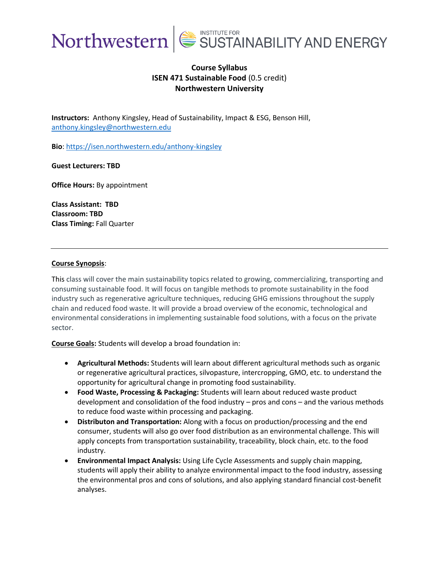

## **Course Syllabus ISEN 471 Sustainable Food** (0.5 credit) **Northwestern University**

**Instructors:** Anthony Kingsley, Head of Sustainability, Impact & ESG, Benson Hill, [anthony.kingsley@northwestern.edu](mailto:anthony.kingsley@northwestern.edu)

**Bio**:<https://isen.northwestern.edu/anthony-kingsley>

**Guest Lecturers: TBD**

**Office Hours:** By appointment

**Class Assistant: TBD Classroom: TBD Class Timing:** Fall Quarter

### **Course Synopsis**:

This class will cover the main sustainability topics related to growing, commercializing, transporting and consuming sustainable food. It will focus on tangible methods to promote sustainability in the food industry such as regenerative agriculture techniques, reducing GHG emissions throughout the supply chain and reduced food waste. It will provide a broad overview of the economic, technological and environmental considerations in implementing sustainable food solutions, with a focus on the private sector.

**Course Goals:** Students will develop a broad foundation in:

- **Agricultural Methods:** Students will learn about different agricultural methods such as organic or regenerative agricultural practices, silvopasture, intercropping, GMO, etc. to understand the opportunity for agricultural change in promoting food sustainability.
- **Food Waste, Processing & Packaging:** Students will learn about reduced waste product development and consolidation of the food industry – pros and cons – and the various methods to reduce food waste within processing and packaging.
- **Distributon and Transportation:** Along with a focus on production/processing and the end consumer, students will also go over food distribution as an environmental challenge. This will apply concepts from transportation sustainability, traceability, block chain, etc. to the food industry.
- **Environmental Impact Analysis:** Using Life Cycle Assessments and supply chain mapping, students will apply their ability to analyze environmental impact to the food industry, assessing the environmental pros and cons of solutions, and also applying standard financial cost-benefit analyses.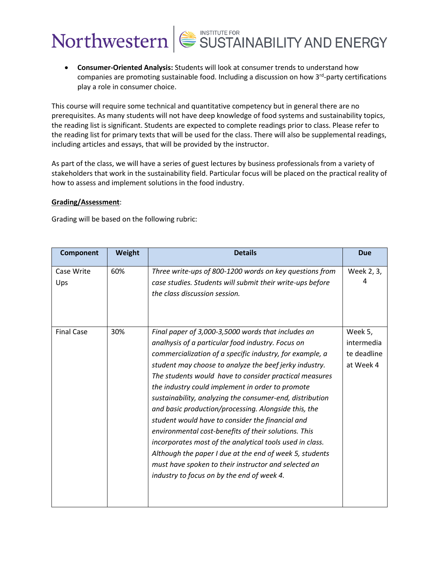• **Consumer-Oriented Analysis:** Students will look at consumer trends to understand how companies are promoting sustainable food. Including a discussion on how 3<sup>rd</sup>-party certifications play a role in consumer choice.

This course will require some technical and quantitative competency but in general there are no prerequisites. As many students will not have deep knowledge of food systems and sustainability topics, the reading list is significant. Students are expected to complete readings prior to class. Please refer to the reading list for primary texts that will be used for the class. There will also be supplemental readings, including articles and essays, that will be provided by the instructor.

As part of the class, we will have a series of guest lectures by business professionals from a variety of stakeholders that work in the sustainability field. Particular focus will be placed on the practical reality of how to assess and implement solutions in the food industry.

### **Grading/Assessment**:

Grading will be based on the following rubric:

| Component         | Weight | <b>Details</b>                                                                                                                                                                                                                                                                                                                                                                                                                                                                                                                                                                                                                                                                                                                                                                                           | <b>Due</b>                                        |
|-------------------|--------|----------------------------------------------------------------------------------------------------------------------------------------------------------------------------------------------------------------------------------------------------------------------------------------------------------------------------------------------------------------------------------------------------------------------------------------------------------------------------------------------------------------------------------------------------------------------------------------------------------------------------------------------------------------------------------------------------------------------------------------------------------------------------------------------------------|---------------------------------------------------|
| Case Write<br>Ups | 60%    | Three write-ups of 800-1200 words on key questions from<br>case studies. Students will submit their write-ups before<br>the class discussion session.                                                                                                                                                                                                                                                                                                                                                                                                                                                                                                                                                                                                                                                    | Week 2, 3,<br>4                                   |
| <b>Final Case</b> | 30%    | Final paper of 3,000-3,5000 words that includes an<br>analhysis of a particular food industry. Focus on<br>commercialization of a specific industry, for example, a<br>student may choose to analyze the beef jerky industry.<br>The students would have to consider practical measures<br>the industry could implement in order to promote<br>sustainability, analyzing the consumer-end, distribution<br>and basic production/processing. Alongside this, the<br>student would have to consider the financial and<br>environmental cost-benefits of their solutions. This<br>incorporates most of the analytical tools used in class.<br>Although the paper I due at the end of week 5, students<br>must have spoken to their instructor and selected an<br>industry to focus on by the end of week 4. | Week 5,<br>intermedia<br>te deadline<br>at Week 4 |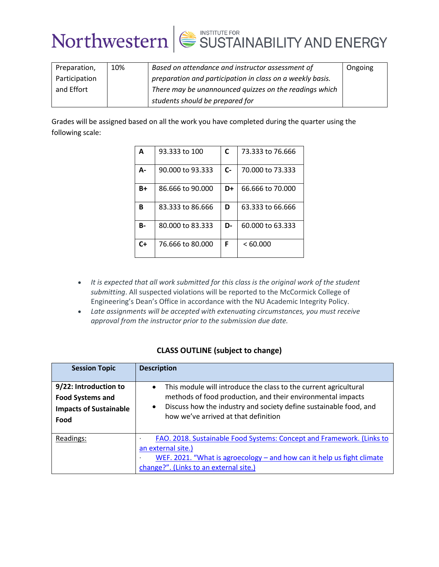| Preparation,  | 10% | Based on attendance and instructor assessment of          | Ongoing |
|---------------|-----|-----------------------------------------------------------|---------|
| Participation |     | preparation and participation in class on a weekly basis. |         |
| and Effort    |     | There may be unannounced quizzes on the readings which    |         |
|               |     | students should be prepared for                           |         |

Grades will be assigned based on all the work you have completed during the quarter using the following scale:

| A  | 93.333 to 100    | C    | 73.333 to 76.666 |
|----|------------------|------|------------------|
| А- | 90.000 to 93.333 | $C-$ | 70.000 to 73.333 |
| B+ | 86.666 to 90.000 | D+   | 66,666 to 70,000 |
| B  | 83.333 to 86.666 | D    | 63.333 to 66.666 |
| В- | 80,000 to 83,333 | D-   | 60.000 to 63.333 |
| C+ | 76,666 to 80,000 | F    | <60.000          |

- *It is expected that all work submitted for this class is the original work of the student submitting*. All suspected violations will be reported to the McCormick College of Engineering's Dean's Office in accordance with the NU Academic Integrity Policy.
- *Late assignments will be accepted with extenuating circumstances, you must receive approval from the instructor prior to the submission due date.*

## **CLASS OUTLINE (subject to change)**

| <b>Session Topic</b>                                                                      | <b>Description</b>                                                                                                                                                                                                                                                     |  |
|-------------------------------------------------------------------------------------------|------------------------------------------------------------------------------------------------------------------------------------------------------------------------------------------------------------------------------------------------------------------------|--|
| 9/22: Introduction to<br><b>Food Systems and</b><br><b>Impacts of Sustainable</b><br>Food | This module will introduce the class to the current agricultural<br>$\bullet$<br>methods of food production, and their environmental impacts<br>Discuss how the industry and society define sustainable food, and<br>$\bullet$<br>how we've arrived at that definition |  |
| Readings:                                                                                 | FAO. 2018. Sustainable Food Systems: Concept and Framework. (Links to<br>٠<br>an external site.)<br>WEF. 2021. "What is agroecology - and how can it help us fight climate<br>change?". (Links to an external site.)                                                   |  |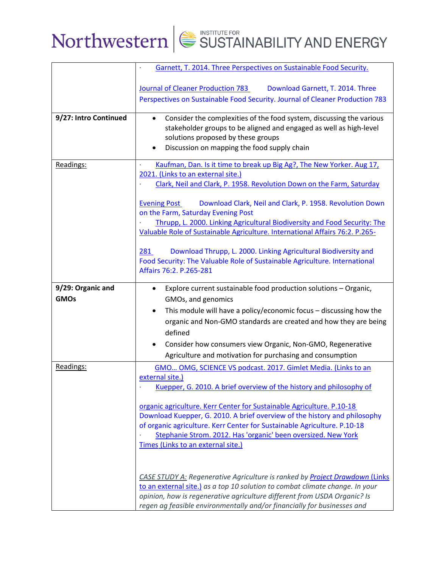|                                  | Garnett, T. 2014. Three Perspectives on Sustainable Food Security.                                                                                                                                                                                                                                                                    |
|----------------------------------|---------------------------------------------------------------------------------------------------------------------------------------------------------------------------------------------------------------------------------------------------------------------------------------------------------------------------------------|
|                                  | Journal of Cleaner Production 783<br>Download Garnett, T. 2014. Three                                                                                                                                                                                                                                                                 |
|                                  | Perspectives on Sustainable Food Security. Journal of Cleaner Production 783                                                                                                                                                                                                                                                          |
| 9/27: Intro Continued            | Consider the complexities of the food system, discussing the various<br>$\bullet$<br>stakeholder groups to be aligned and engaged as well as high-level<br>solutions proposed by these groups<br>Discussion on mapping the food supply chain                                                                                          |
| Readings:                        | Kaufman, Dan. Is it time to break up Big Ag?, The New Yorker. Aug 17,<br>$\blacksquare$<br>2021. (Links to an external site.)<br>Clark, Neil and Clark, P. 1958. Revolution Down on the Farm, Saturday                                                                                                                                |
|                                  | <b>Evening Post</b><br>Download Clark, Neil and Clark, P. 1958. Revolution Down<br>on the Farm, Saturday Evening Post<br>Thrupp, L. 2000. Linking Agricultural Biodiversity and Food Security: The                                                                                                                                    |
|                                  | Valuable Role of Sustainable Agriculture. International Affairs 76:2. P.265-                                                                                                                                                                                                                                                          |
|                                  | 281<br>Download Thrupp, L. 2000. Linking Agricultural Biodiversity and<br>Food Security: The Valuable Role of Sustainable Agriculture. International<br>Affairs 76:2. P.265-281                                                                                                                                                       |
| 9/29: Organic and<br><b>GMOs</b> | Explore current sustainable food production solutions - Organic,<br>$\bullet$<br>GMOs, and genomics                                                                                                                                                                                                                                   |
|                                  | This module will have a policy/economic focus - discussing how the<br>$\bullet$<br>organic and Non-GMO standards are created and how they are being<br>defined                                                                                                                                                                        |
|                                  | Consider how consumers view Organic, Non-GMO, Regenerative<br>$\bullet$<br>Agriculture and motivation for purchasing and consumption                                                                                                                                                                                                  |
| Readings:                        | GMO OMG, SCIENCE VS podcast. 2017. Gimlet Media. (Links to an<br>external site.)<br>Kuepper, G. 2010. A brief overview of the history and philosophy of                                                                                                                                                                               |
|                                  | organic agriculture. Kerr Center for Sustainable Agriculture. P.10-18<br>Download Kuepper, G. 2010. A brief overview of the history and philosophy<br>of organic agriculture. Kerr Center for Sustainable Agriculture. P.10-18<br>Stephanie Strom. 2012. Has 'organic' been oversized. New York<br>Times (Links to an external site.) |
|                                  | <b>CASE STUDY A: Regenerative Agriculture is ranked by Project Drawdown (Links)</b><br>to an external site.) as a top 10 solution to combat climate change. In your<br>opinion, how is regenerative agriculture different from USDA Organic? Is<br>regen ag feasible environmentally and/or financially for businesses and            |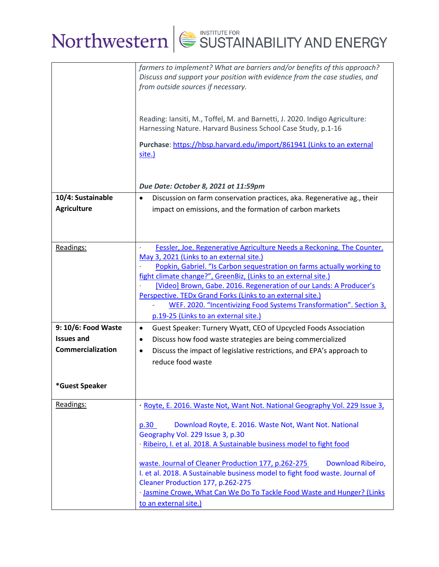|                     | farmers to implement? What are barriers and/or benefits of this approach?<br>Discuss and support your position with evidence from the case studies, and<br>from outside sources if necessary. |
|---------------------|-----------------------------------------------------------------------------------------------------------------------------------------------------------------------------------------------|
|                     | Reading: Iansiti, M., Toffel, M. and Barnetti, J. 2020. Indigo Agriculture:<br>Harnessing Nature. Harvard Business School Case Study, p.1-16                                                  |
|                     | Purchase: https://hbsp.harvard.edu/import/861941 (Links to an external<br>site.)                                                                                                              |
|                     | Due Date: October 8, 2021 at 11:59pm                                                                                                                                                          |
| 10/4: Sustainable   | Discussion on farm conservation practices, aka. Regenerative ag., their<br>$\bullet$                                                                                                          |
| <b>Agriculture</b>  | impact on emissions, and the formation of carbon markets                                                                                                                                      |
|                     |                                                                                                                                                                                               |
| Readings:           | Fessler, Joe. Regenerative Agriculture Needs a Reckoning. The Counter.                                                                                                                        |
|                     | May 3, 2021 (Links to an external site.)                                                                                                                                                      |
|                     | Popkin, Gabriel. "Is Carbon sequestration on farms actually working to                                                                                                                        |
|                     | fight climate change?", GreenBiz, (Links to an external site.)<br>[Video] Brown, Gabe. 2016. Regeneration of our Lands: A Producer's                                                          |
|                     | Perspective. TEDx Grand Forks (Links to an external site.)                                                                                                                                    |
|                     | WEF. 2020. "Incentivizing Food Systems Transformation". Section 3,                                                                                                                            |
|                     | p.19-25 (Links to an external site.)                                                                                                                                                          |
| 9: 10/6: Food Waste | Guest Speaker: Turnery Wyatt, CEO of Upcycled Foods Association<br>$\bullet$                                                                                                                  |
| <b>Issues and</b>   | Discuss how food waste strategies are being commercialized<br>$\bullet$                                                                                                                       |
| Commercialization   | Discuss the impact of legislative restrictions, and EPA's approach to<br>$\bullet$                                                                                                            |
|                     | reduce food waste                                                                                                                                                                             |
|                     |                                                                                                                                                                                               |
| *Guest Speaker      |                                                                                                                                                                                               |
| Readings:           | · Royte, E. 2016. Waste Not, Want Not. National Geography Vol. 229 Issue 3,                                                                                                                   |
|                     | Download Royte, E. 2016. Waste Not, Want Not. National<br>p.30                                                                                                                                |
|                     | Geography Vol. 229 Issue 3, p.30                                                                                                                                                              |
|                     | · Ribeiro, I. et al. 2018. A Sustainable business model to fight food                                                                                                                         |
|                     | waste. Journal of Cleaner Production 177, p.262-275<br>Download Ribeiro,<br>I. et al. 2018. A Sustainable business model to fight food waste. Journal of<br>Cleaner Production 177, p.262-275 |
|                     | · Jasmine Crowe, What Can We Do To Tackle Food Waste and Hunger? (Links                                                                                                                       |
|                     | to an external site.)                                                                                                                                                                         |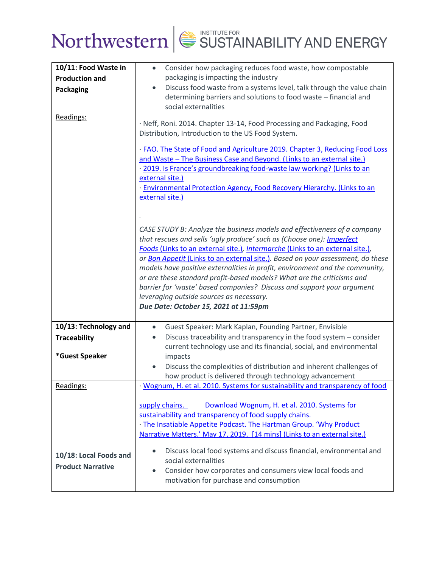

| 10/11: Food Waste in<br><b>Production and</b><br><b>Packaging</b><br>Readings: | Consider how packaging reduces food waste, how compostable<br>$\bullet$<br>packaging is impacting the industry<br>Discuss food waste from a systems level, talk through the value chain<br>$\bullet$<br>determining barriers and solutions to food waste - financial and<br>social externalities<br>· Neff, Roni. 2014. Chapter 13-14, Food Processing and Packaging, Food<br>Distribution, Introduction to the US Food System.<br>· FAO. The State of Food and Agriculture 2019. Chapter 3, Reducing Food Loss<br>and Waste - The Business Case and Beyond. (Links to an external site.)<br>· 2019. Is France's groundbreaking food-waste law working? (Links to an<br>external site.)<br>· Environmental Protection Agency, Food Recovery Hierarchy. (Links to an |
|--------------------------------------------------------------------------------|---------------------------------------------------------------------------------------------------------------------------------------------------------------------------------------------------------------------------------------------------------------------------------------------------------------------------------------------------------------------------------------------------------------------------------------------------------------------------------------------------------------------------------------------------------------------------------------------------------------------------------------------------------------------------------------------------------------------------------------------------------------------|
|                                                                                | external site.)<br>CASE STUDY B: Analyze the business models and effectiveness of a company<br>that rescues and sells 'ugly produce' such as (Choose one): Imperfect<br>Foods (Links to an external site.), Intermarche (Links to an external site.),<br>or Bon Appetit (Links to an external site.). Based on your assessment, do these<br>models have positive externalities in profit, environment and the community,<br>or are these standard profit-based models? What are the criticisms and<br>barrier for 'waste' based companies? Discuss and support your argument<br>leveraging outside sources as necessary.<br>Due Date: October 15, 2021 at 11:59pm                                                                                                   |
| 10/13: Technology and<br><b>Traceability</b><br>*Guest Speaker                 | Guest Speaker: Mark Kaplan, Founding Partner, Envisible<br>$\bullet$<br>Discuss traceability and transparency in the food system - consider<br>$\bullet$<br>current technology use and its financial, social, and environmental<br>impacts<br>Discuss the complexities of distribution and inherent challenges of<br>how product is delivered through technology advancement                                                                                                                                                                                                                                                                                                                                                                                        |
| Readings:                                                                      | · Wognum, H. et al. 2010. Systems for sustainability and transparency of food<br>supply chains.<br>Download Wognum, H. et al. 2010. Systems for<br>sustainability and transparency of food supply chains.<br>· The Insatiable Appetite Podcast. The Hartman Group. 'Why Product<br>Narrative Matters.' May 17, 2019, [14 mins] (Links to an external site.)                                                                                                                                                                                                                                                                                                                                                                                                         |
| 10/18: Local Foods and<br><b>Product Narrative</b>                             | Discuss local food systems and discuss financial, environmental and<br>$\bullet$<br>social externalities<br>Consider how corporates and consumers view local foods and<br>$\bullet$<br>motivation for purchase and consumption                                                                                                                                                                                                                                                                                                                                                                                                                                                                                                                                      |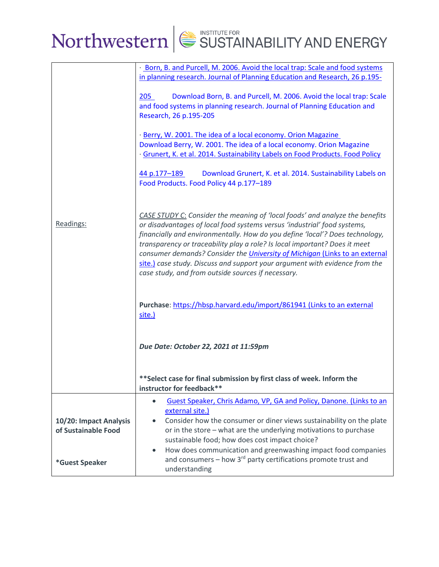

|                                               | · Born, B. and Purcell, M. 2006. Avoid the local trap: Scale and food systems<br>in planning research. Journal of Planning Education and Research, 26 p.195-                                                                                                                                                                                                                                                                                                                                                                               |  |  |
|-----------------------------------------------|--------------------------------------------------------------------------------------------------------------------------------------------------------------------------------------------------------------------------------------------------------------------------------------------------------------------------------------------------------------------------------------------------------------------------------------------------------------------------------------------------------------------------------------------|--|--|
|                                               | Download Born, B. and Purcell, M. 2006. Avoid the local trap: Scale<br>205<br>and food systems in planning research. Journal of Planning Education and<br>Research, 26 p.195-205                                                                                                                                                                                                                                                                                                                                                           |  |  |
|                                               | · Berry, W. 2001. The idea of a local economy. Orion Magazine<br>Download Berry, W. 2001. The idea of a local economy. Orion Magazine<br>· Grunert, K. et al. 2014. Sustainability Labels on Food Products. Food Policy                                                                                                                                                                                                                                                                                                                    |  |  |
|                                               | 44 p.177-189<br>Download Grunert, K. et al. 2014. Sustainability Labels on<br>Food Products. Food Policy 44 p.177-189                                                                                                                                                                                                                                                                                                                                                                                                                      |  |  |
| Readings:                                     | CASE STUDY C: Consider the meaning of 'local foods' and analyze the benefits<br>or disadvantages of local food systems versus 'industrial' food systems,<br>financially and environmentally. How do you define 'local'? Does technology,<br>transparency or traceability play a role? Is local important? Does it meet<br>consumer demands? Consider the University of Michigan (Links to an external<br>site.) case study. Discuss and support your argument with evidence from the<br>case study, and from outside sources if necessary. |  |  |
|                                               | Purchase: https://hbsp.harvard.edu/import/861941 (Links to an external<br>site.)                                                                                                                                                                                                                                                                                                                                                                                                                                                           |  |  |
|                                               | Due Date: October 22, 2021 at 11:59pm                                                                                                                                                                                                                                                                                                                                                                                                                                                                                                      |  |  |
|                                               | **Select case for final submission by first class of week. Inform the<br>instructor for feedback**                                                                                                                                                                                                                                                                                                                                                                                                                                         |  |  |
| 10/20: Impact Analysis<br>of Sustainable Food | Guest Speaker, Chris Adamo, VP, GA and Policy, Danone. (Links to an<br>$\bullet$<br>external site.)<br>Consider how the consumer or diner views sustainability on the plate<br>$\bullet$<br>or in the store - what are the underlying motivations to purchase<br>sustainable food; how does cost impact choice?<br>How does communication and greenwashing impact food companies<br>$\bullet$                                                                                                                                              |  |  |
| *Guest Speaker                                | and consumers - how 3 <sup>rd</sup> party certifications promote trust and<br>understanding                                                                                                                                                                                                                                                                                                                                                                                                                                                |  |  |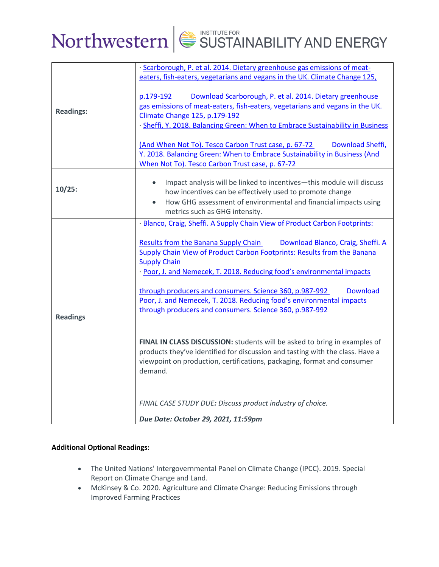## Northwestern  $\left|\frac{1}{2}\right|$  SUSTAINABILITY AND ENERGY

|                  | · Scarborough, P. et al. 2014. Dietary greenhouse gas emissions of meat-<br>eaters, fish-eaters, vegetarians and vegans in the UK. Climate Change 125,                                                                                                                                                                                                                                                                                                                 |
|------------------|------------------------------------------------------------------------------------------------------------------------------------------------------------------------------------------------------------------------------------------------------------------------------------------------------------------------------------------------------------------------------------------------------------------------------------------------------------------------|
| <b>Readings:</b> | Download Scarborough, P. et al. 2014. Dietary greenhouse<br>p.179-192<br>gas emissions of meat-eaters, fish-eaters, vegetarians and vegans in the UK.<br>Climate Change 125, p.179-192<br>· Sheffi, Y. 2018. Balancing Green: When to Embrace Sustainability in Business<br>(And When Not To). Tesco Carbon Trust case, p. 67-72<br>Download Sheffi,<br>Y. 2018. Balancing Green: When to Embrace Sustainability in Business (And                                      |
|                  | When Not To). Tesco Carbon Trust case, p. 67-72                                                                                                                                                                                                                                                                                                                                                                                                                        |
| 10/25:           | Impact analysis will be linked to incentives-this module will discuss<br>how incentives can be effectively used to promote change<br>How GHG assessment of environmental and financial impacts using<br>metrics such as GHG intensity.                                                                                                                                                                                                                                 |
|                  | · Blanco, Craig, Sheffi. A Supply Chain View of Product Carbon Footprints:                                                                                                                                                                                                                                                                                                                                                                                             |
|                  | Results from the Banana Supply Chain<br>Download Blanco, Craig, Sheffi. A<br>Supply Chain View of Product Carbon Footprints: Results from the Banana<br><b>Supply Chain</b><br>· Poor, J. and Nemecek, T. 2018. Reducing food's environmental impacts<br>through producers and consumers. Science 360, p.987-992<br><b>Download</b><br>Poor, J. and Nemecek, T. 2018. Reducing food's environmental impacts<br>through producers and consumers. Science 360, p.987-992 |
| <b>Readings</b>  | FINAL IN CLASS DISCUSSION: students will be asked to bring in examples of<br>products they've identified for discussion and tasting with the class. Have a<br>viewpoint on production, certifications, packaging, format and consumer<br>demand.<br>FINAL CASE STUDY DUE: Discuss product industry of choice.                                                                                                                                                          |
|                  |                                                                                                                                                                                                                                                                                                                                                                                                                                                                        |
|                  | Due Date: October 29, 2021, 11:59pm                                                                                                                                                                                                                                                                                                                                                                                                                                    |

### **Additional Optional Readings:**

- The United Nations' Intergovernmental Panel on Climate Change (IPCC). 2019. Special Report on Climate Change and Land.
- McKinsey & Co. 2020. Agriculture and Climate Change: Reducing Emissions through Improved Farming Practices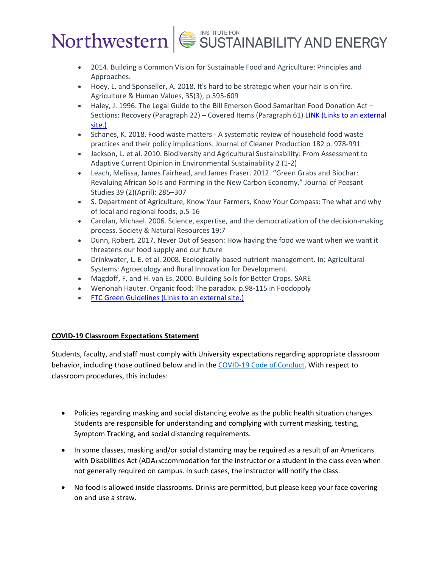- 2014. Building a Common Vision for Sustainable Food and Agriculture: Principles and Approaches.
- Hoey, L. and Sponseller, A. 2018. It's hard to be strategic when your hair is on fire. Agriculture & Human Values, 35(3), p.595-609
- Haley, J. 1996. The Legal Guide to the Bill Emerson Good Samaritan Food Donation Act Sections: Recovery (Paragraph 22) – Covered Items (Paragraph 61) LINK (Links to an [external](http://media.law.uark.edu/arklawnotes/2013/08/08/the-legal-guide-to-the-bill-emerson-good-samaritan-food-donation-act/) [site.\)](http://media.law.uark.edu/arklawnotes/2013/08/08/the-legal-guide-to-the-bill-emerson-good-samaritan-food-donation-act/)
- Schanes, K. 2018. Food waste matters A systematic review of household food waste practices and their policy implications. Journal of Cleaner Production 182 p. 978-991
- Jackson, L. et al. 2010. Biodiversity and Agricultural Sustainability: From Assessment to Adaptive Current Opinion in Environmental Sustainability 2 (1-2)
- Leach, Melissa, James Fairhead, and James Fraser. 2012. "Green Grabs and Biochar: Revaluing African Soils and Farming in the New Carbon Economy." Journal of Peasant Studies 39 (2)(April): 285–307
- S. Department of Agriculture, Know Your Farmers, Know Your Compass: The what and why of local and regional foods, p.5-16
- Carolan, Michael. 2006. Science, expertise, and the democratization of the decision-making process. Society & Natural Resources 19:7
- Dunn, Robert. 2017. Never Out of Season: How having the food we want when we want it threatens our food supply and our future
- Drinkwater, L. E. et al. 2008. Ecologically-based nutrient management. In: Agricultural Systems: Agroecology and Rural Innovation for Development.
- Magdoff, F. and H. van Es. 2000. Building Soils for Better Crops. SARE
- Wenonah Hauter. Organic food: The paradox. p.98-115 in Foodopoly
- [FTC Green Guidelines](https://www.ftc.gov/sites/default/files/documents/federal_register_notices/guides-use-environmental-marketing-claims-green-guides/greenguidesfrn.pdf) (Links to an external site.)

### **COVID-19 Classroom Expectations Statement**

Students, faculty, and staff must comply with University expectations regarding appropriate classroom behavior, including those outlined below and in the COVID-19 Code of Conduct. With respect to classroom procedures, this includes:

- Policies regarding masking and social distancing evolve as the public health situation changes. Students are responsible for understanding and complying with current masking, testing, Symptom Tracking, and social distancing requirements.
- In some classes, masking and/or social distancing may be required as a result of an Americans with Disabilities Act (ADA) accommodation for the instructor or a student in the class even when not generally required on campus. In such cases, the instructor will notify the class.
- No food is allowed inside classrooms. Drinks are permitted, but please keep your face covering on and use a straw.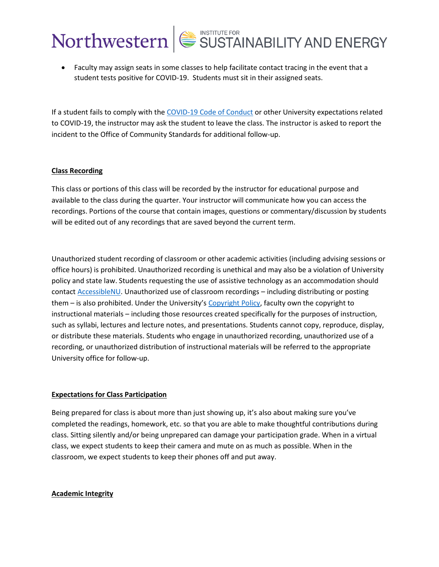## • Faculty may assign seats in some classes to help facilitate contact tracing in the event that a student tests positive for COVID-19. Students must sit in their assigned seats.

If a student fails to comply with the COVID-19 Code of Conduct or other University expectations related to COVID-19, the instructor may ask the student to leave the class. The instructor is asked to report the incident to the Office of Community Standards for additional follow-up.

### **Class Recording**

This class or portions of this class will be recorded by the instructor for educational purpose and available to the class during the quarter. Your instructor will communicate how you can access the recordings. Portions of the course that contain images, questions or commentary/discussion by students will be edited out of any recordings that are saved beyond the current term.

Unauthorized student recording of classroom or other academic activities (including advising sessions or office hours) is prohibited. Unauthorized recording is unethical and may also be a violation of University policy and state law. Students requesting the use of assistive technology as an accommodation should contact AccessibleNU. Unauthorized use of classroom recordings – including distributing or posting them – is also prohibited. Under the University's Copyright Policy, faculty own the copyright to instructional materials – including those resources created specifically for the purposes of instruction, such as syllabi, lectures and lecture notes, and presentations. Students cannot copy, reproduce, display, or distribute these materials. Students who engage in unauthorized recording, unauthorized use of a recording, or unauthorized distribution of instructional materials will be referred to the appropriate University office for follow-up.

### **Expectations for Class Participation**

Being prepared for class is about more than just showing up, it's also about making sure you've completed the readings, homework, etc. so that you are able to make thoughtful contributions during class. Sitting silently and/or being unprepared can damage your participation grade. When in a virtual class, we expect students to keep their camera and mute on as much as possible. When in the classroom, we expect students to keep their phones off and put away.

### **Academic Integrity**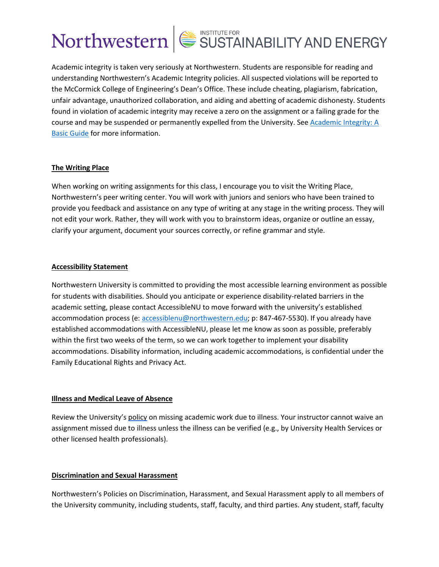Academic integrity is taken very seriously at Northwestern. Students are responsible for reading and understanding Northwestern's Academic Integrity policies. All suspected violations will be reported to the McCormick College of Engineering's Dean's Office. These include cheating, plagiarism, fabrication, unfair advantage, unauthorized collaboration, and aiding and abetting of academic dishonesty. Students found in violation of academic integrity may receive a zero on the assignment or a failing grade for the course and may be suspended or permanently expelled from the University. See Academic Integrity: A Basic Guide for more information.

### **The Writing Place**

When working on writing assignments for this class, I encourage you to visit the Writing Place, Northwestern's peer writing center. You will work with juniors and seniors who have been trained to provide you feedback and assistance on any type of writing at any stage in the writing process. They will not edit your work. Rather, they will work with you to brainstorm ideas, organize or outline an essay, clarify your argument, document your sources correctly, or refine grammar and style.

### **Accessibility Statement**

Northwestern University is committed to providing the most accessible learning environment as possible for students with disabilities. Should you anticipate or experience disability-related barriers in the academic setting, please contact AccessibleNU to move forward with the university's established accommodation process (e: accessiblenu@northwestern.edu; p: 847-467-5530). If you already have established accommodations with AccessibleNU, please let me know as soon as possible, preferably within the first two weeks of the term, so we can work together to implement your disability accommodations. Disability information, including academic accommodations, is confidential under the Family Educational Rights and Privacy Act.

### **Illness and Medical Leave of Absence**

Review the University's policy on missing academic work due to illness. Your instructor cannot waive an assignment missed due to illness unless the illness can be verified (e.g., by University Health Services or other licensed health professionals).

### **Discrimination and Sexual Harassment**

Northwestern's Policies on Discrimination, Harassment, and Sexual Harassment apply to all members of the University community, including students, staff, faculty, and third parties. Any student, staff, faculty